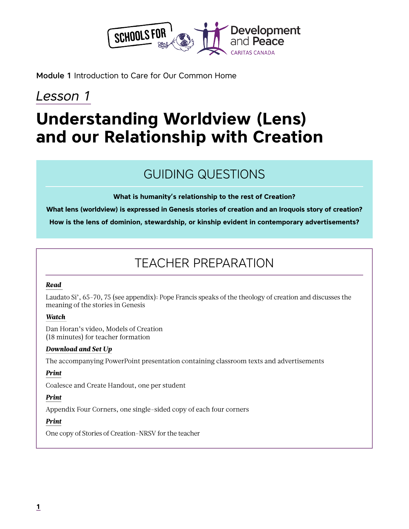

Module 1 Introduction to Care for Our Common Home

# *Lesson 1*

# **Understanding Worldview (Lens) and our Relationship with Creation**

## GUIDING QUESTIONS

**What is humanity's relationship to the rest of Creation?** 

**What lens (worldview) is expressed in Genesis stories of creation and an Iroquois story of creation?**

**How is the lens of dominion, stewardship, or kinship evident in contemporary advertisements?**

## TEACHER PREPARATION

#### *Read*

Laudato Si', 65-70, 75 (see appendix): Pope Francis speaks of the theology of creation and discusses the meaning of the stories in Genesis

#### *Watch*

Dan Horan's video, Models of Creation (18 minutes) for teacher formation

#### *Download and Set Up*

The accompanying PowerPoint presentation containing classroom texts and advertisements

#### *Print*

Coalesce and Create Handout, one per student

#### *Print*

Appendix Four Corners, one single-sided copy of each four corners

#### *Print*

One copy of Stories of Creation-NRSV for the teacher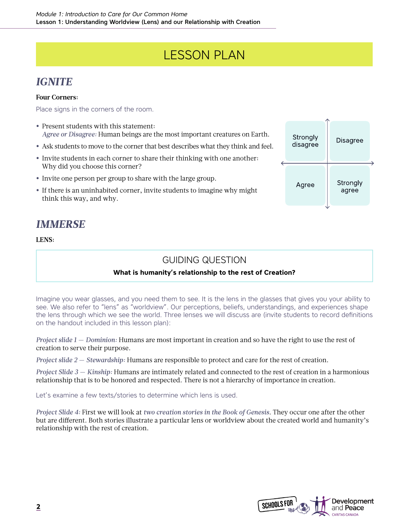# LESSON PLAN

### *IGNITE*

#### **Four Corners:**

Place signs in the corners of the room.

| • Present students with this statement:<br>Agree or Disagree: Human beings are the most important creatures on Earth. | Strongly | <b>Disagree</b> |  |
|-----------------------------------------------------------------------------------------------------------------------|----------|-----------------|--|
| • Ask students to move to the corner that best describes what they think and feel.                                    | disagree |                 |  |
| • Invite students in each corner to share their thinking with one another:<br>Why did you choose this corner?         |          |                 |  |
| • Invite one person per group to share with the large group.                                                          |          | Strongly        |  |
| • If there is an uninhabited corner, invite students to imagine why might<br>think this way, and why.                 | Agree    | agree           |  |
|                                                                                                                       |          |                 |  |

## *IMMERSE*

**LENS:** 

### GUIDING QUESTION

#### **What is humanity's relationship to the rest of Creation?**

Imagine you wear glasses, and you need them to see. It is the lens in the glasses that gives you your ability to see. We also refer to "lens" as "worldview". Our perceptions, beliefs, understandings, and experiences shape the lens through which we see the world. Three lenses we will discuss are (invite students to record definitions on the handout included in this lesson plan):

*Project slide 1 — Dominion:* Humans are most important in creation and so have the right to use the rest of creation to serve their purpose.

*Project slide 2 — Stewardship:* Humans are responsible to protect and care for the rest of creation.

*Project Slide 3 — Kinship:* Humans are intimately related and connected to the rest of creation in a harmonious relationship that is to be honored and respected. There is not a hierarchy of importance in creation.

Let's examine a few texts/stories to determine which lens is used.

*Project Slide 4:* First we will look at *two creation stories in the Book of Genesis*. They occur one after the other but are different. Both stories illustrate a particular lens or worldview about the created world and humanity's relationship with the rest of creation.

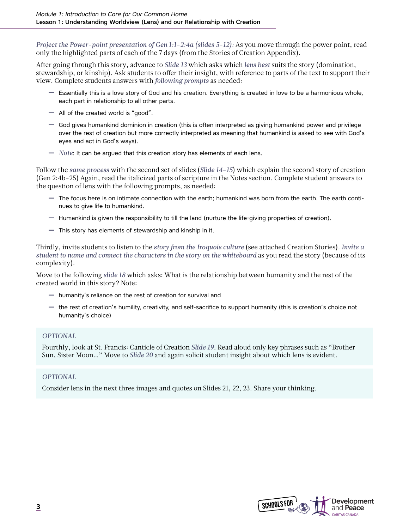*Project the Power-point presentation of Gen 1:1-2:4a (slides 5-12):* As you move through the power point, read only the highlighted parts of each of the 7 days (from the Stories of Creation Appendix).

After going through this story, advance to *Slide 13* which asks which *lens best* suits the story (domination, stewardship, or kinship). Ask students to offer their insight, with reference to parts of the text to support their view. Complete students answers with *following prompts* as needed:

- **―** Essentially this is a love story of God and his creation. Everything is created in love to be a harmonious whole, each part in relationship to all other parts.
- **―** All of the created world is "good".
- **―** God gives humankind dominion in creation (this is often interpreted as giving humankind power and privilege over the rest of creation but more correctly interpreted as meaning that humankind is asked to see with God's eyes and act in God's ways).
- **―** *Note*: It can be argued that this creation story has elements of each lens.

Follow the *same process* with the second set of slides (*Slide 14-15*) which explain the second story of creation (Gen 2:4b-25) Again, read the italicized parts of scripture in the Notes section. Complete student answers to the question of lens with the following prompts, as needed:

- **―** The focus here is on intimate connection with the earth; humankind was born from the earth. The earth continues to give life to humankind.
- **―** Humankind is given the responsibility to till the land (nurture the life-giving properties of creation).
- **―** This story has elements of stewardship and kinship in it.

Thirdly, invite students to listen to the *story from the Iroquois culture* (see attached Creation Stories). *Invite a student to name and connect the characters in the story on the whiteboard* as you read the story (because of its complexity).

Move to the following *slide 18* which asks: What is the relationship between humanity and the rest of the created world in this story? Note:

- **―** humanity's reliance on the rest of creation for survival and
- **―** the rest of creation's humility, creativity, and self-sacrifice to support humanity (this is creation's choice not humanity's choice)

#### *OPTIONAL*

Fourthly, look at St. Francis: Canticle of Creation *Slide 19*. Read aloud only key phrases such as "Brother Sun, Sister Moon…" Move to *Slide 20* and again solicit student insight about which lens is evident.

#### *OPTIONAL*

Consider lens in the next three images and quotes on Slides 21, 22, 23. Share your thinking.

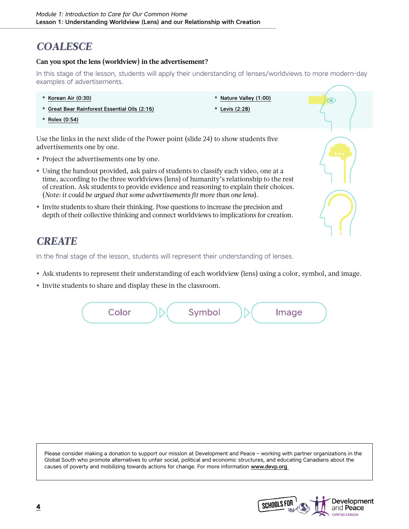## *COALESCE*

#### **Can you spot the lens (worldview) in the advertisement?**

In this stage of the lesson, students will apply their understanding of lenses/worldviews to more modern-day examples of advertisements.

- **•** [Korean Air \(0:30\)](https://www.ispot.tv/ad/7TOB/korean-air-all-about-you)
- **•** [Great Bear Rainforest Essential Oils \(2:16\)](https://www.youtube.com/watch?v=-rsaSHpQshM)
- **•** [Nature Valley \(1:00\)](https://www.youtube.com/watch?v=MmanKzJlsYo)
- **•** [Levis \(2:28\)](https://www.youtube.com/watch?v=pf79ZvKz7ek)

**•** [Rolex \(0:54\)](https://www.youtube.com/watch?v=HpnIV0ic4Bc)

Use the links in the next slide of the Power point (slide 24) to show students five advertisements one by one.

- **•** Project the advertisements one by one.
- **•** Using the handout provided, ask pairs of students to classify each video, one at a time, according to the three worldviews (lens) of humanity's relationship to the rest of creation. Ask students to provide evidence and reasoning to explain their choices. (*Note: it could be argued that some advertisements fit more than one lens*).
- **•** Invite students to share their thinking. Pose questions to increase the precision and depth of their collective thinking and connect worldviews to implications for creation.

## *CREATE*

In the final stage of the lesson, students will represent their understanding of lenses.

- **•** Ask students to represent their understanding of each worldview (lens) using a color, symbol, and image.
- **•** Invite students to share and display these in the classroom.



Please consider making a donation to support our mission at Development and Peace – working with partner organizations in the Global South who promote alternatives to unfair social, political and economic structures, and educating Canadians about the causes of poverty and mobilizing towards actions for change. For more information [www.devp.org](http://www.devp.org ) 

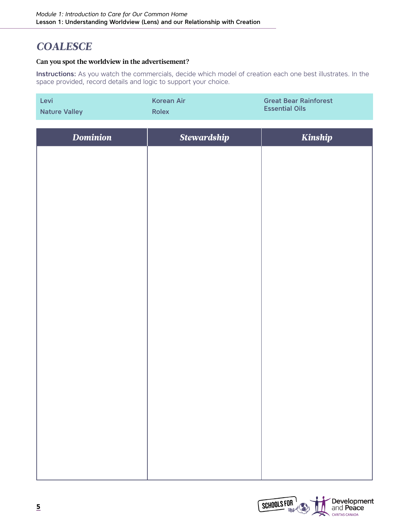## *COALESCE*

#### **Can you spot the worldview in the advertisement?**

Instructions: As you watch the commercials, decide which model of creation each one best illustrates. In the space provided, record details and logic to support your choice.

| Levi                 | Korean Air | <b>Great Bear Rainforest</b> |
|----------------------|------------|------------------------------|
| <b>Nature Valley</b> | Rolex      | <b>Essential Oils</b>        |

| <b>Dominion</b> | Stewardship | Kinship |
|-----------------|-------------|---------|
|                 |             |         |
|                 |             |         |
|                 |             |         |
|                 |             |         |
|                 |             |         |
|                 |             |         |
|                 |             |         |
|                 |             |         |
|                 |             |         |
|                 |             |         |
|                 |             |         |
|                 |             |         |
|                 |             |         |
|                 |             |         |
|                 |             |         |
|                 |             |         |
|                 |             |         |

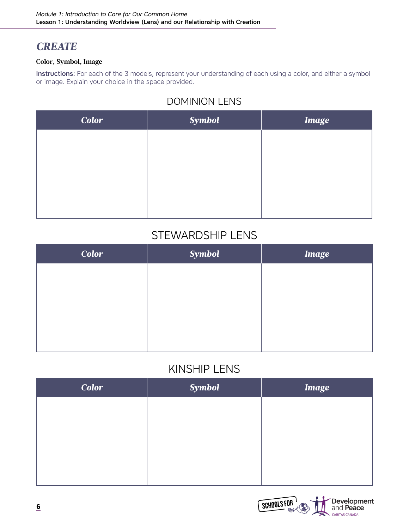## *CREATE*

#### **Color, Symbol, Image**

Instructions: For each of the 3 models, represent your understanding of each using a color, and either a symbol or image. Explain your choice in the space provided.

### DOMINION LENS

| <b>Color</b> | <b>Symbol</b> | <b>Image</b> |
|--------------|---------------|--------------|
|              |               |              |
|              |               |              |
|              |               |              |
|              |               |              |
|              |               |              |

## STEWARDSHIP LENS

| <b>Color</b> | <b>Symbol</b> | <b>Image</b> |
|--------------|---------------|--------------|
|              |               |              |
|              |               |              |
|              |               |              |
|              |               |              |
|              |               |              |

## KINSHIP LENS

| <b>Color</b> | <b>Symbol</b> | <b>Image</b> |
|--------------|---------------|--------------|
|              |               |              |
|              |               |              |
|              |               |              |
|              |               |              |
|              |               |              |

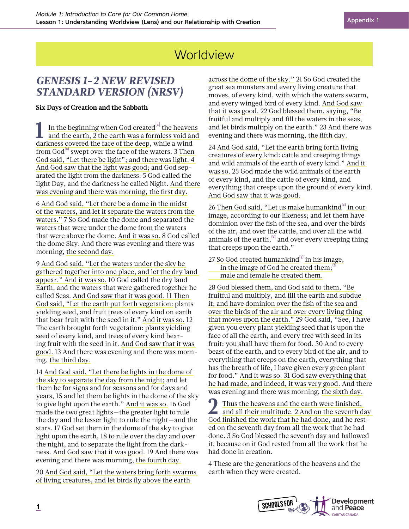## **Worldview**

## *GENESIS 1-2 NEW REVISED STANDARD VERSION (NRSV)*

**Six Days of Creation and the Sabbath**

 $\frac{1}{\text{ln}}$  $\frac{1}{\text{ln}}$  $\frac{1}{\text{ln}}$  In the beginning when God created  $\frac{1}{\text{ln}}$  the heavens and the earth, 2 the earth was a formless void and and the earth, 2 the earth was a formless void and darkness covered the face of the deep, while a wind from  $God^{[b]}$  $God^{[b]}$  $God^{[b]}$  swept over the face of the waters. 3 Then God said, "Let there be light"; and there was light. 4 And God saw that the light was good; and God separated the light from the darkness. 5 God called the light Day, and the darkness he called Night. And there was evening and there was morning, the first day.

6 And God said, "Let there be a dome in the midst of the waters, and let it separate the waters from the waters." 7 So God made the dome and separated the waters that were under the dome from the waters that were above the dome. And it was so. 8 God called the dome Sky. And there was evening and there was morning, the second day.

9 And God said, "Let the waters under the sky be gathered together into one place, and let the dry land appear." And it was so. 10 God called the dry land Earth, and the waters that were gathered together he called Seas. And God saw that it was good. 11 Then God said, "Let the earth put forth vegetation: plants yielding seed, and fruit trees of every kind on earth that bear fruit with the seed in it." And it was so. 12 The earth brought forth vegetation: plants yielding seed of every kind, and trees of every kind bearing fruit with the seed in it. And God saw that it was good. 13 And there was evening and there was morning, the third day.

14 And God said, "Let there be lights in the dome of the sky to separate the day from the night; and let them be for signs and for seasons and for days and years, 15 and let them be lights in the dome of the sky to give light upon the earth." And it was so. 16 God made the two great lights—the greater light to rule the day and the lesser light to rule the night—and the stars. 17 God set them in the dome of the sky to give light upon the earth, 18 to rule over the day and over the night, and to separate the light from the darkness. And God saw that it was good. 19 And there was evening and there was morning, the fourth day.

20 And God said, "Let the waters bring forth swarms of living creatures, and let birds fly above the earth

across the dome of the sky." 21 So God created the great sea monsters and every living creature that moves, of every kind, with which the waters swarm, and every winged bird of every kind. And God saw that it was good. 22 God blessed them, saying, "Be fruitful and multiply and fill the waters in the seas, and let birds multiply on the earth." 23 And there was evening and there was morning, the fifth day.

24 And God said, "Let the earth bring forth living creatures of every kind: cattle and creeping things and wild animals of the earth of every kind." And it was so. 25 God made the wild animals of the earth of every kind, and the cattle of every kind, and everything that creeps upon the ground of every kind. And God saw that it was good.

26 Then God said, "Let us make humankind<sup>[[c](https://www.biblegateway.com/passage/?search=Genesis+1-2&version=NRSV#fen-NRSV-26c)]</sup> in our image, according to our likeness; and let them have dominion over the fish of the sea, and over the birds of the air, and over the cattle, and over all the wild animals of the earth,<sup>[d]</sup> and over every creeping thing that creeps upon the earth."

27 So God created humankind<sup>[\[e\]](https://www.biblegateway.com/passage/?search=Genesis+1-2&version=NRSV#fen-NRSV-27e)</sup> in his image, in the image of God he created them; male and female he created them.

28 God blessed them, and God said to them, "Be fruitful and multiply, and fill the earth and subdue it; and have dominion over the fish of the sea and over the birds of the air and over every living thing that moves upon the earth." 29 God said, "See, I have given you every plant yielding seed that is upon the face of all the earth, and every tree with seed in its fruit; you shall have them for food. 30 And to every beast of the earth, and to every bird of the air, and to everything that creeps on the earth, everything that has the breath of life, I have given every green plant for food." And it was so. 31 God saw everything that he had made, and indeed, it was very good. And there was evening and there was morning, the sixth day.

2 Thus the heavens and the earth were finished,<br>and all their multitude. 2 And on the seventh day God finished the work that he had done, and he rested on the seventh day from all the work that he had done. 3 So God blessed the seventh day and hallowed it, because on it God rested from all the work that he had done in creation.

4 These are the generations of the heavens and the earth when they were created.

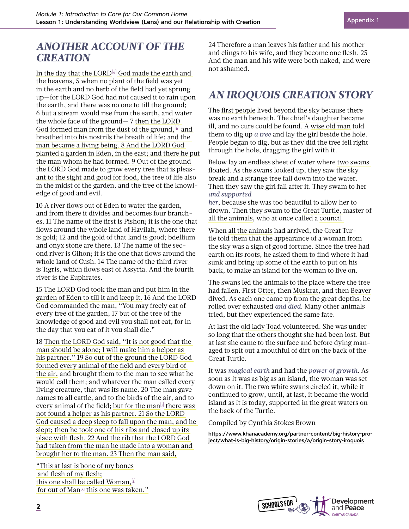## *ANOTHER ACCOUNT OF THE CREATION*

In the day that the LORD[[g](https://www.biblegateway.com/passage/?search=Genesis+1-2&version=NRSV#fen-NRSV-35g)] God made the earth and the heavens, 5 when no plant of the field was yet in the earth and no herb of the field had yet sprung up—for the LORD God had not caused it to rain upon the earth, and there was no one to till the ground; 6 but a stream would rise from the earth, and water the whole face of the ground— 7 then the LORD God formed man from t[h](https://www.biblegateway.com/passage/?search=Genesis+1-2&version=NRSV#fen-NRSV-38h)e dust of the ground,  $[h]$  and breathed into his nostrils the breath of life; and the man became a living being. 8 And the LORD God planted a garden in Eden, in the east; and there he put the man whom he had formed. 9 Out of the ground the LORD God made to grow every tree that is pleasant to the sight and good for food, the tree of life also in the midst of the garden, and the tree of the knowledge of good and evil.

10 A river flows out of Eden to water the garden, and from there it divides and becomes four branches. 11 The name of the first is Pishon; it is the one that flows around the whole land of Havilah, where there is gold; 12 and the gold of that land is good; bdellium and onyx stone are there. 13 The name of the second river is Gihon; it is the one that flows around the whole land of Cush. 14 The name of the third river is Tigris, which flows east of Assyria. And the fourth river is the Euphrates.

15 The LORD God took the man and put him in the garden of Eden to till it and keep it. 16 And the LORD God commanded the man, "You may freely eat of every tree of the garden; 17 but of the tree of the knowledge of good and evil you shall not eat, for in the day that you eat of it you shall die."

18 Then the LORD God said, "It is not good that the man should be alone; I will make him a helper as his partner." 19 So out of the ground the LORD God formed every animal of the field and every bird of the air, and brought them to the man to see what he would call them; and whatever the man called every living creature, that was its name. 20 The man gave names to all cattle, and to the birds of the air, and to every an[i](https://www.biblegateway.com/passage/?search=Genesis+1-2&version=NRSV#fen-NRSV-51i)mal of the field; but for the man<sup>[i]</sup> there was not found a helper as his partner. 21 So the LORD God caused a deep sleep to fall upon the man, and he slept; then he took one of his ribs and closed up its place with flesh. 22 And the rib that the LORD God had taken from the man he made into a woman and brought her to the man. 23 Then the man said,

"This at last is bone of my bones and flesh of my flesh; this one shall be called Woman, [[j](https://www.biblegateway.com/passage/?search=Genesis+1-2&version=NRSV#fen-NRSV-54j)] for out of Man $N$  this one was taken." 24 Therefore a man leaves his father and his mother and clings to his wife, and they become one flesh. 25 And the man and his wife were both naked, and were not ashamed.

## *AN IROQUOIS CREATION STORY*

The first people lived beyond the sky because there was no earth beneath. The chief's daughter became ill, and no cure could be found. A wise old man told them to dig up *a tree* and lay the girl beside the hole. People began to dig, but as they did the tree fell right through the hole, dragging the girl with it.

Below lay an endless sheet of water where two swans floated. As the swans looked up, they saw the sky break and a strange tree fall down into the water. Then they saw the girl fall after it. They swam to her *and supported* 

*her*, because she was too beautiful to allow her to drown. Then they swam to the Great Turtle, master of all the animals, who at once called a council.

When all the animals had arrived, the Great Turtle told them that the appearance of a woman from the sky was a sign of good fortune. Since the tree had earth on its roots, he asked them to find where it had sunk and bring up some of the earth to put on his back, to make an island for the woman to live on.

The swans led the animals to the place where the tree had fallen. First Otter, then Muskrat, and then Beaver dived. As each one came up from the great depths, he rolled over exhausted *and died*. Many other animals tried, but they experienced the same fate.

At last the old lady Toad volunteered. She was under so long that the others thought she had been lost. But at last she came to the surface and before dying managed to spit out a mouthful of dirt on the back of the Great Turtle.

It was *magical earth* and had the *power of growth*. As soon as it was as big as an island, the woman was set down on it. The two white swans circled it, while it continued to grow, until, at last, it became the world island as it is today, supported in the great waters on the back of the Turtle.

Compiled by Cynthia Stokes Brown

[https://www.khanacademy.org/partner-content/big-history-pro](https://www.khanacademy.org/partner-content/big-history-project/what-is-big-history/origin-stories/a)[ject/what-is-big-history/origin-stories/a/origin-story-iroquois](https://www.khanacademy.org/partner-content/big-history-project/what-is-big-history/origin-stories/a)

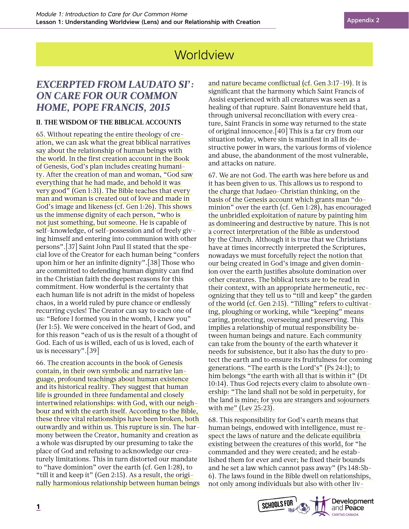## **Worldview**

### *EXCERPTED FROM LAUDATO SI': ON CARE FOR OUR COMMON HOME, POPE FRANCIS, 2015*

#### **II. THE WISDOM OF THE BIBLICAL ACCOUNTS**

65. Without repeating the entire theology of creation, we can ask what the great biblical narratives say about the relationship of human beings with the world. In the first creation account in the Book of Genesis, God's plan includes creating humanity. After the creation of man and woman, "God saw everything that he had made, and behold it was very good" (Gen 1:31). The Bible teaches that every man and woman is created out of love and made in God's image and likeness (cf. Gen 1:26). This shows us the immense dignity of each person, "who is not just something, but someone. He is capable of self-knowledge, of self-possession and of freely giving himself and entering into communion with other persons".[37] Saint John Paul II stated that the special love of the Creator for each human being "confers upon him or her an infinite dignity".[38] Those who are committed to defending human dignity can find in the Christian faith the deepest reasons for this commitment. How wonderful is the certainty that each human life is not adrift in the midst of hopeless chaos, in a world ruled by pure chance or endlessly recurring cycles! The Creator can say to each one of us: "Before I formed you in the womb, I knew you" (Jer 1:5). We were conceived in the heart of God, and for this reason "each of us is the result of a thought of God. Each of us is willed, each of us is loved, each of us is necessary".[39]

66. The creation accounts in the book of Genesis contain, in their own symbolic and narrative language, profound teachings about human existence and its historical reality. They suggest that human life is grounded in three fundamental and closely intertwined relationships: with God, with our neighbour and with the earth itself. According to the Bible, these three vital relationships have been broken, both outwardly and within us. This rupture is sin. The harmony between the Creator, humanity and creation as a whole was disrupted by our presuming to take the place of God and refusing to acknowledge our creaturely limitations. This in turn distorted our mandate to "have dominion" over the earth (cf. Gen 1:28), to "till it and keep it" (Gen 2:15). As a result, the originally harmonious relationship between human beings

and nature became conflictual (cf. Gen 3:17-19). It is significant that the harmony which Saint Francis of Assisi experienced with all creatures was seen as a healing of that rupture. Saint Bonaventure held that, through universal reconciliation with every creature, Saint Francis in some way returned to the state of original innocence.[40] This is a far cry from our situation today, where sin is manifest in all its destructive power in wars, the various forms of violence and abuse, the abandonment of the most vulnerable, and attacks on nature.

67. We are not God. The earth was here before us and it has been given to us. This allows us to respond to the charge that Judaeo-Christian thinking, on the basis of the Genesis account which grants man "dominion" over the earth (cf. Gen 1:28), has encouraged the unbridled exploitation of nature by painting him as domineering and destructive by nature. This is not a correct interpretation of the Bible as understood by the Church. Although it is true that we Christians have at times incorrectly interpreted the Scriptures, nowadays we must forcefully reject the notion that our being created in God's image and given dominion over the earth justifies absolute domination over other creatures. The biblical texts are to be read in their context, with an appropriate hermeneutic, recognizing that they tell us to "till and keep" the garden of the world (cf. Gen 2:15). "Tilling" refers to cultivating, ploughing or working, while "keeping" means caring, protecting, overseeing and preserving. This implies a relationship of mutual responsibility between human beings and nature. Each community can take from the bounty of the earth whatever it needs for subsistence, but it also has the duty to protect the earth and to ensure its fruitfulness for coming generations. "The earth is the Lord's" (Ps 24:1); to him belongs "the earth with all that is within it" (Dt 10:14). Thus God rejects every claim to absolute ownership: "The land shall not be sold in perpetuity, for the land is mine; for you are strangers and sojourners with me" (Lev 25:23).

68. This responsibility for God's earth means that human beings, endowed with intelligence, must respect the laws of nature and the delicate equilibria existing between the creatures of this world, for "he commanded and they were created; and he established them for ever and ever; he fixed their bounds and he set a law which cannot pass away" (Ps 148:5b-6). The laws found in the Bible dwell on relationships, not only among individuals but also with other liv-

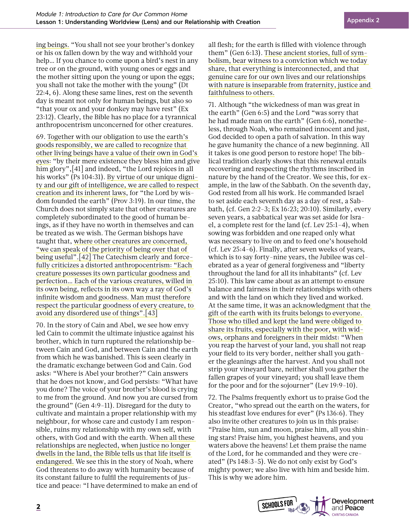ing beings. "You shall not see your brother's donkey or his ox fallen down by the way and withhold your help… If you chance to come upon a bird's nest in any tree or on the ground, with young ones or eggs and the mother sitting upon the young or upon the eggs; you shall not take the mother with the young" (Dt 22:4, 6). Along these same lines, rest on the seventh day is meant not only for human beings, but also so "that your ox and your donkey may have rest" (Ex 23:12). Clearly, the Bible has no place for a tyrannical anthropocentrism unconcerned for other creatures.

69. Together with our obligation to use the earth's goods responsibly, we are called to recognize that other living beings have a value of their own in God's eyes: "by their mere existence they bless him and give him glory", [41] and indeed, "the Lord rejoices in all his works" (Ps 104:31). By virtue of our unique dignity and our gift of intelligence, we are called to respect creation and its inherent laws, for "the Lord by wisdom founded the earth" (Prov 3:19). In our time, the Church does not simply state that other creatures are completely subordinated to the good of human beings, as if they have no worth in themselves and can be treated as we wish. The German bishops have taught that, where other creatures are concerned, "we can speak of the priority of being over that of being useful".[42] The Catechism clearly and forcefully criticizes a distorted anthropocentrism: "Each creature possesses its own particular goodness and perfection… Each of the various creatures, willed in its own being, reflects in its own way a ray of God's infinite wisdom and goodness. Man must therefore respect the particular goodness of every creature, to avoid any disordered use of things".[43]

70. In the story of Cain and Abel, we see how envy led Cain to commit the ultimate injustice against his brother, which in turn ruptured the relationship between Cain and God, and between Cain and the earth from which he was banished. This is seen clearly in the dramatic exchange between God and Cain. God asks: "Where is Abel your brother?" Cain answers that he does not know, and God persists: "What have you done? The voice of your brother's blood is crying to me from the ground. And now you are cursed from the ground" (Gen 4:9-11). Disregard for the duty to cultivate and maintain a proper relationship with my neighbour, for whose care and custody I am responsible, ruins my relationship with my own self, with others, with God and with the earth. When all these relationships are neglected, when justice no longer dwells in the land, the Bible tells us that life itself is endangered. We see this in the story of Noah, where God threatens to do away with humanity because of its constant failure to fulfil the requirements of justice and peace: "I have determined to make an end of

all flesh; for the earth is filled with violence through them" (Gen 6:13). These ancient stories, full of symbolism, bear witness to a conviction which we today share, that everything is interconnected, and that genuine care for our own lives and our relationships with nature is inseparable from fraternity, justice and faithfulness to others.

71. Although "the wickedness of man was great in the earth" (Gen 6:5) and the Lord "was sorry that he had made man on the earth" (Gen 6:6), nonetheless, through Noah, who remained innocent and just, God decided to open a path of salvation. In this way he gave humanity the chance of a new beginning. All it takes is one good person to restore hope! The biblical tradition clearly shows that this renewal entails recovering and respecting the rhythms inscribed in nature by the hand of the Creator. We see this, for example, in the law of the Sabbath. On the seventh day, God rested from all his work. He commanded Israel to set aside each seventh day as a day of rest, a Sabbath, (cf. Gen 2:2-3; Ex 16:23; 20:10). Similarly, every seven years, a sabbatical year was set aside for Israel, a complete rest for the land (cf. Lev 25:1-4), when sowing was forbidden and one reaped only what was necessary to live on and to feed one's household (cf. Lev 25:4-6). Finally, after seven weeks of years, which is to say forty-nine years, the Jubilee was celebrated as a year of general forgiveness and "liberty throughout the land for all its inhabitants" (cf. Lev 25:10). This law came about as an attempt to ensure balance and fairness in their relationships with others and with the land on which they lived and worked. At the same time, it was an acknowledgment that the gift of the earth with its fruits belongs to everyone. Those who tilled and kept the land were obliged to share its fruits, especially with the poor, with widows, orphans and foreigners in their midst: "When you reap the harvest of your land, you shall not reap your field to its very border, neither shall you gather the gleanings after the harvest. And you shall not strip your vineyard bare, neither shall you gather the fallen grapes of your vineyard; you shall leave them for the poor and for the sojourner" (Lev 19:9-10).

72. The Psalms frequently exhort us to praise God the Creator, "who spread out the earth on the waters, for his steadfast love endures for ever" (Ps 136:6). They also invite other creatures to join us in this praise: "Praise him, sun and moon, praise him, all you shining stars! Praise him, you highest heavens, and you waters above the heavens! Let them praise the name of the Lord, for he commanded and they were created" (Ps 148:3-5). We do not only exist by God's mighty power; we also live with him and beside him. This is why we adore him.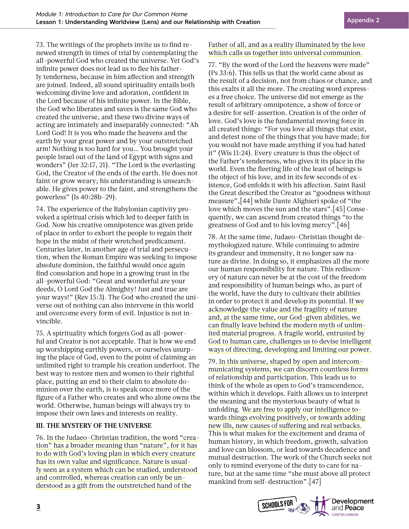73. The writings of the prophets invite us to find renewed strength in times of trial by contemplating the all-powerful God who created the universe. Yet God's infinite power does not lead us to flee his fatherly tenderness, because in him affection and strength are joined. Indeed, all sound spirituality entails both welcoming divine love and adoration, confident in the Lord because of his infinite power. In the Bible, the God who liberates and saves is the same God who created the universe, and these two divine ways of acting are intimately and inseparably connected: "Ah Lord God! It is you who made the heavens and the earth by your great power and by your outstretched arm! Nothing is too hard for you… You brought your people Israel out of the land of Egypt with signs and wonders" (Jer 32:17, 21). "The Lord is the everlasting God, the Creator of the ends of the earth. He does not faint or grow weary; his understanding is unsearchable. He gives power to the faint, and strengthens the powerless" (Is 40:28b-29).

74. The experience of the Babylonian captivity provoked a spiritual crisis which led to deeper faith in God. Now his creative omnipotence was given pride of place in order to exhort the people to regain their hope in the midst of their wretched predicament. Centuries later, in another age of trial and persecution, when the Roman Empire was seeking to impose absolute dominion, the faithful would once again find consolation and hope in a growing trust in the all-powerful God: "Great and wonderful are your deeds, O Lord God the Almighty! Just and true are your ways!" (Rev 15:3). The God who created the universe out of nothing can also intervene in this world and overcome every form of evil. Injustice is not invincible.

75. A spirituality which forgets God as all-powerful and Creator is not acceptable. That is how we end up worshipping earthly powers, or ourselves usurping the place of God, even to the point of claiming an unlimited right to trample his creation underfoot. The best way to restore men and women to their rightful place, putting an end to their claim to absolute dominion over the earth, is to speak once more of the figure of a Father who creates and who alone owns the world. Otherwise, human beings will always try to impose their own laws and interests on reality.

#### **III. THE MYSTERY OF THE UNIVERSE**

76. In the Judaeo-Christian tradition, the word "creation" has a broader meaning than "nature", for it has to do with God's loving plan in which every creature has its own value and significance. Nature is usually seen as a system which can be studied, understood and controlled, whereas creation can only be understood as a gift from the outstretched hand of the

#### Father of all, and as a reality illuminated by the love which calls us together into universal communion.

77. "By the word of the Lord the heavens were made" (Ps 33:6). This tells us that the world came about as the result of a decision, not from chaos or chance, and this exalts it all the more. The creating word expresses a free choice. The universe did not emerge as the result of arbitrary omnipotence, a show of force or a desire for self-assertion. Creation is of the order of love. God's love is the fundamental moving force in all created things: "For you love all things that exist, and detest none of the things that you have made; for you would not have made anything if you had hated it" (Wis 11:24). Every creature is thus the object of the Father's tenderness, who gives it its place in the world. Even the fleeting life of the least of beings is the object of his love, and in its few seconds of existence, God enfolds it with his affection. Saint Basil the Great described the Creator as "goodness without measure",[44] while Dante Alighieri spoke of "the love which moves the sun and the stars".[45] Consequently, we can ascend from created things "to the greatness of God and to his loving mercy".[46]

78. At the same time, Judaeo-Christian thought demythologized nature. While continuing to admire its grandeur and immensity, it no longer saw nature as divine. In doing so, it emphasizes all the more our human responsibility for nature. This rediscovery of nature can never be at the cost of the freedom and responsibility of human beings who, as part of the world, have the duty to cultivate their abilities in order to protect it and develop its potential. If we acknowledge the value and the fragility of nature and, at the same time, our God-given abilities, we can finally leave behind the modern myth of unlimited material progress. A fragile world, entrusted by God to human care, challenges us to devise intelligent ways of directing, developing and limiting our power.

79. In this universe, shaped by open and intercommunicating systems, we can discern countless forms of relationship and participation. This leads us to think of the whole as open to God's transcendence, within which it develops. Faith allows us to interpret the meaning and the mysterious beauty of what is unfolding. We are free to apply our intelligence towards things evolving positively, or towards adding new ills, new causes of suffering and real setbacks. This is what makes for the excitement and drama of human history, in which freedom, growth, salvation and love can blossom, or lead towards decadence and mutual destruction. The work of the Church seeks not only to remind everyone of the duty to care for nature, but at the same time "she must above all protect mankind from self-destruction".[47]

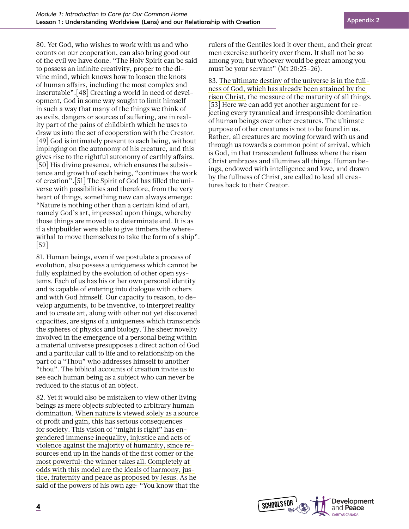80. Yet God, who wishes to work with us and who counts on our cooperation, can also bring good out of the evil we have done. "The Holy Spirit can be said to possess an infinite creativity, proper to the divine mind, which knows how to loosen the knots of human affairs, including the most complex and inscrutable".[48] Creating a world in need of development, God in some way sought to limit himself in such a way that many of the things we think of as evils, dangers or sources of suffering, are in reality part of the pains of childbirth which he uses to draw us into the act of cooperation with the Creator. [49] God is intimately present to each being, without impinging on the autonomy of his creature, and this gives rise to the rightful autonomy of earthly affairs. [50] His divine presence, which ensures the subsistence and growth of each being, "continues the work of creation".[51] The Spirit of God has filled the universe with possibilities and therefore, from the very heart of things, something new can always emerge: "Nature is nothing other than a certain kind of art, namely God's art, impressed upon things, whereby those things are moved to a determinate end. It is as if a shipbuilder were able to give timbers the wherewithal to move themselves to take the form of a ship". [52]

81. Human beings, even if we postulate a process of evolution, also possess a uniqueness which cannot be fully explained by the evolution of other open systems. Each of us has his or her own personal identity and is capable of entering into dialogue with others and with God himself. Our capacity to reason, to develop arguments, to be inventive, to interpret reality and to create art, along with other not yet discovered capacities, are signs of a uniqueness which transcends the spheres of physics and biology. The sheer novelty involved in the emergence of a personal being within a material universe presupposes a direct action of God and a particular call to life and to relationship on the part of a "Thou" who addresses himself to another "thou". The biblical accounts of creation invite us to see each human being as a subject who can never be reduced to the status of an object.

82. Yet it would also be mistaken to view other living beings as mere objects subjected to arbitrary human domination. When nature is viewed solely as a source of profit and gain, this has serious consequences for society. This vision of "might is right" has engendered immense inequality, injustice and acts of violence against the majority of humanity, since resources end up in the hands of the first comer or the most powerful: the winner takes all. Completely at odds with this model are the ideals of harmony, justice, fraternity and peace as proposed by Jesus. As he said of the powers of his own age: "You know that the rulers of the Gentiles lord it over them, and their great men exercise authority over them. It shall not be so among you; but whoever would be great among you must be your servant" (Mt 20:25-26).

83. The ultimate destiny of the universe is in the fullness of God, which has already been attained by the risen Christ, the measure of the maturity of all things. [53] Here we can add yet another argument for rejecting every tyrannical and irresponsible domination of human beings over other creatures. The ultimate purpose of other creatures is not to be found in us. Rather, all creatures are moving forward with us and through us towards a common point of arrival, which is God, in that transcendent fullness where the risen Christ embraces and illumines all things. Human beings, endowed with intelligence and love, and drawn by the fullness of Christ, are called to lead all creatures back to their Creator.

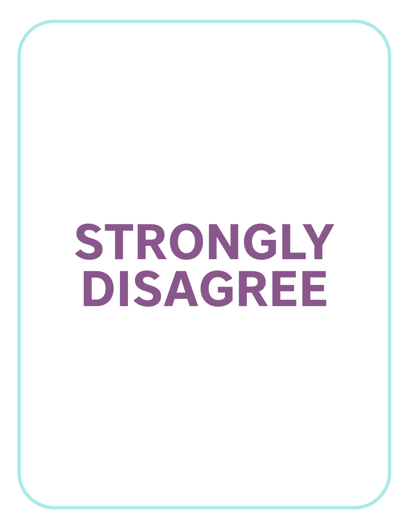# **STRONGLY DISAGREE**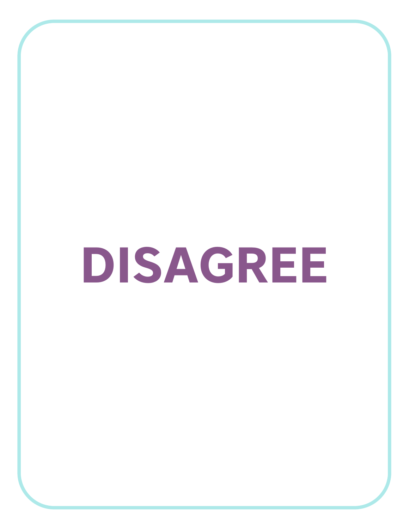# **DISAGREE**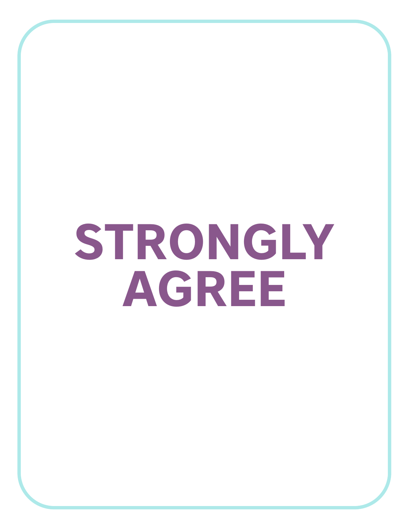# **STRONGLY AGREE**